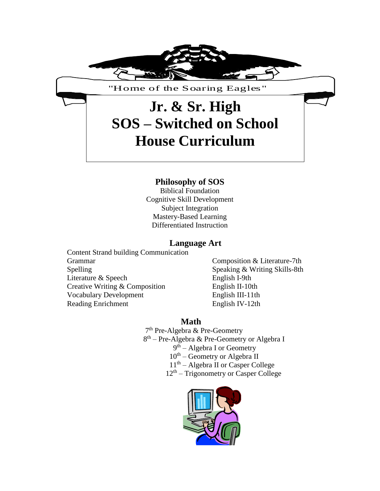

## **Philosophy of SOS**

Biblical Foundation Cognitive Skill Development Subject Integration Mastery-Based Learning Differentiated Instruction

## **Language Art**

Content Strand building Communication Grammar Composition & Literature-7th Spelling Speaking & Writing Skills-8th Literature & Speech English I-9th Creative Writing & Composition English II-10th Vocabulary Development English III-11th Reading Enrichment English IV-12th

## **Math**

 7 7<sup>th</sup> Pre-Algebra & Pre-Geometry 8 <sup>th</sup> – Pre-Algebra & Pre-Geometry or Algebra I 9 <sup>th</sup> – Algebra I or Geometry  $10^{th}$  – Geometry or Algebra II  $11<sup>th</sup> - Algebra II$  or Casper College  $12<sup>th</sup>$  – Trigonometry or Casper College